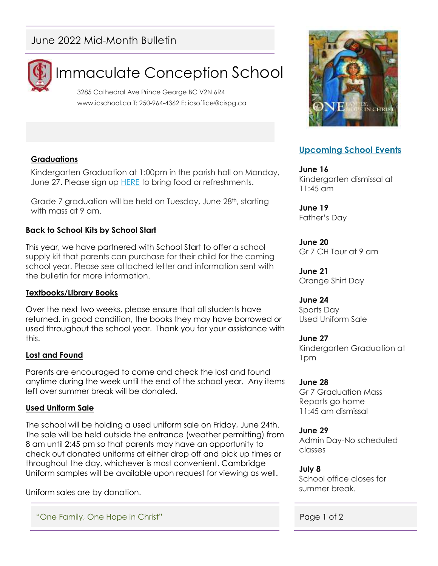## June 2022 Mid-Month Bulletin



# Immaculate Conception School

3285 Cathedral Ave Prince George BC V2N 6R4 www.icschool.ca T: 250-964-4362 E: icsoffice@cispg.ca

#### **Graduations**

Kindergarten Graduation at 1:00pm in the parish hall on Monday, June 27. Please sign up [HERE](https://docs.google.com/document/d/1nkc_zGyT9c5KlcIlvJ2NJAv1kYWHg0PBRyAyNFQnB-c/edit) to bring food or refreshments.

Grade 7 graduation will be held on Tuesday, June 28<sup>th</sup>, starting with mass at 9 am.

#### **Back to School Kits by School Start**

This year, we have partnered with School Start to offer a school supply kit that parents can purchase for their child for the coming school year. Please see attached letter and information sent with the bulletin for more information.

#### **Textbooks/Library Books**

Over the next two weeks, please ensure that all students have returned, in good condition, the books they may have borrowed or used throughout the school year. Thank you for your assistance with this.

#### **Lost and Found**

Parents are encouraged to come and check the lost and found anytime during the week until the end of the school year. Any items left over summer break will be donated.

#### **Used Uniform Sale**

The school will be holding a used uniform sale on Friday, June 24th. The sale will be held outside the entrance (weather permitting) from 8 am until 2:45 pm so that parents may have an opportunity to check out donated uniforms at either drop off and pick up times or throughout the day, whichever is most convenient. Cambridge Uniform samples will be available upon request for viewing as well.

Uniform sales are by donation.

"One Family, One Hope in Christ" Page 1 of 2



### **Upcoming School Events**

**June 16** Kindergarten dismissal at 11:45 am

**June 19** Father's Day

#### **June 20**

Gr 7 CH Tour at 9 am

**June 21** Orange Shirt Day

#### **June 24**

Sports Day Used Uniform Sale

#### **June 27**

Kindergarten Graduation at 1pm

#### **June 28**

Gr 7 Graduation Mass Reports go home 11:45 am dismissal

#### **June 29**

Admin Day-No scheduled classes

#### **July 8**

School office closes for summer break.